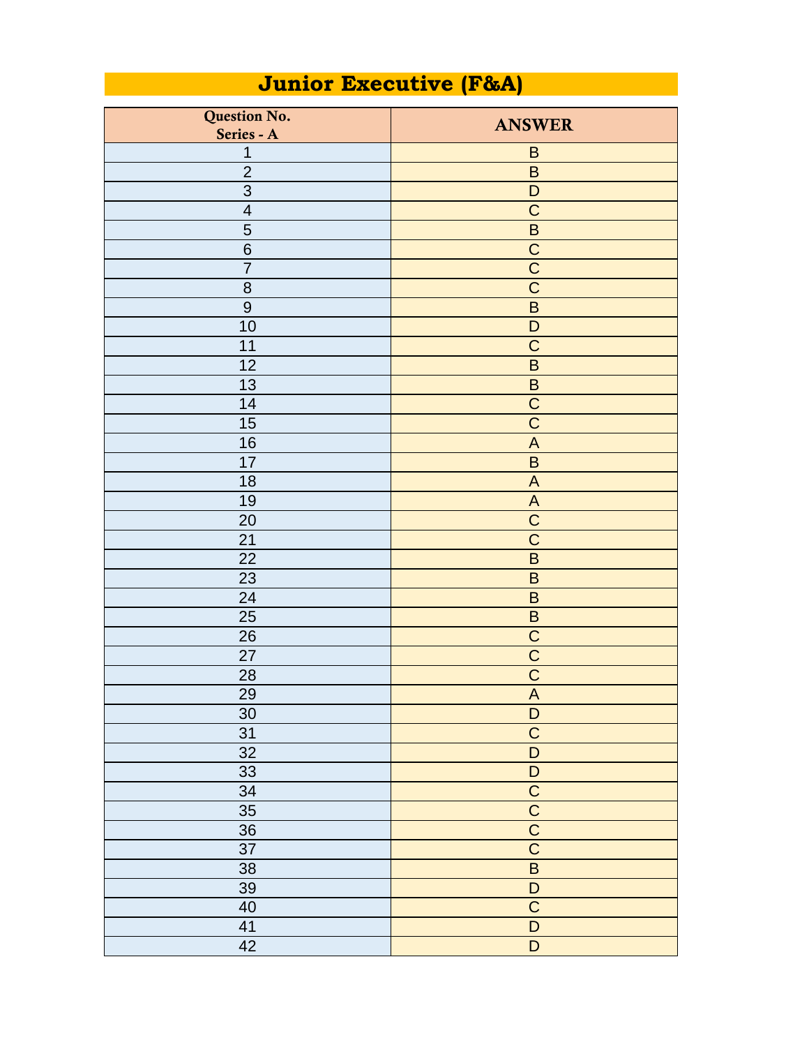## **Junior Executive (F&A)**

| Question No.            | <b>ANSWER</b>             |
|-------------------------|---------------------------|
| Series - A              |                           |
| $\mathbf 1$             | $\sf B$                   |
| $\overline{2}$          | $\sf B$                   |
| $\overline{3}$          | D                         |
| $\overline{\mathbf{4}}$ | $\overline{C}$            |
| 5                       | $\sf B$                   |
| $6\phantom{1}6$         | $\overline{C}$            |
| $\overline{7}$          | $\overline{C}$            |
| 8                       | $\overline{\text{C}}$     |
| $\boldsymbol{9}$        | $\sf B$                   |
| 10                      | $\mathsf D$               |
| 11                      | $\overline{C}$            |
| 12                      | $\sf B$                   |
| 13                      | $\sf B$                   |
| 14                      | $\overline{C}$            |
| 15                      | $\overline{C}$            |
| 16                      | $\boldsymbol{\mathsf{A}}$ |
| 17                      | $\sf B$                   |
| 18                      | $\boldsymbol{\mathsf{A}}$ |
| 19                      | $\mathsf A$               |
| 20                      | $\overline{C}$            |
| 21                      | $\overline{C}$            |
| $\overline{22}$         | $\overline{\mathsf{B}}$   |
| 23                      | $\sf B$                   |
| 24                      | $\sf B$                   |
| 25                      | $\sf B$                   |
| 26                      | $\overline{C}$            |
| 27                      | $\overline{C}$            |
| 28                      | $\overline{C}$            |
| 29                      | $\boldsymbol{\mathsf{A}}$ |
| 30                      | $\mathsf D$               |
| $\overline{31}$         | $\overline{C}$            |
| 32                      | $\overline{D}$            |
| 33                      | $\overline{D}$            |
| 34                      |                           |
| $\overline{35}$         |                           |
| $\overline{36}$         |                           |
| 37                      | $\frac{1}{C}$             |
| 38                      | $\overline{B}$            |
| 39                      | $\mathsf D$               |
| 40                      | $\overline{C}$            |
| 41                      | $\overline{D}$            |
| $\overline{42}$         | $\overline{D}$            |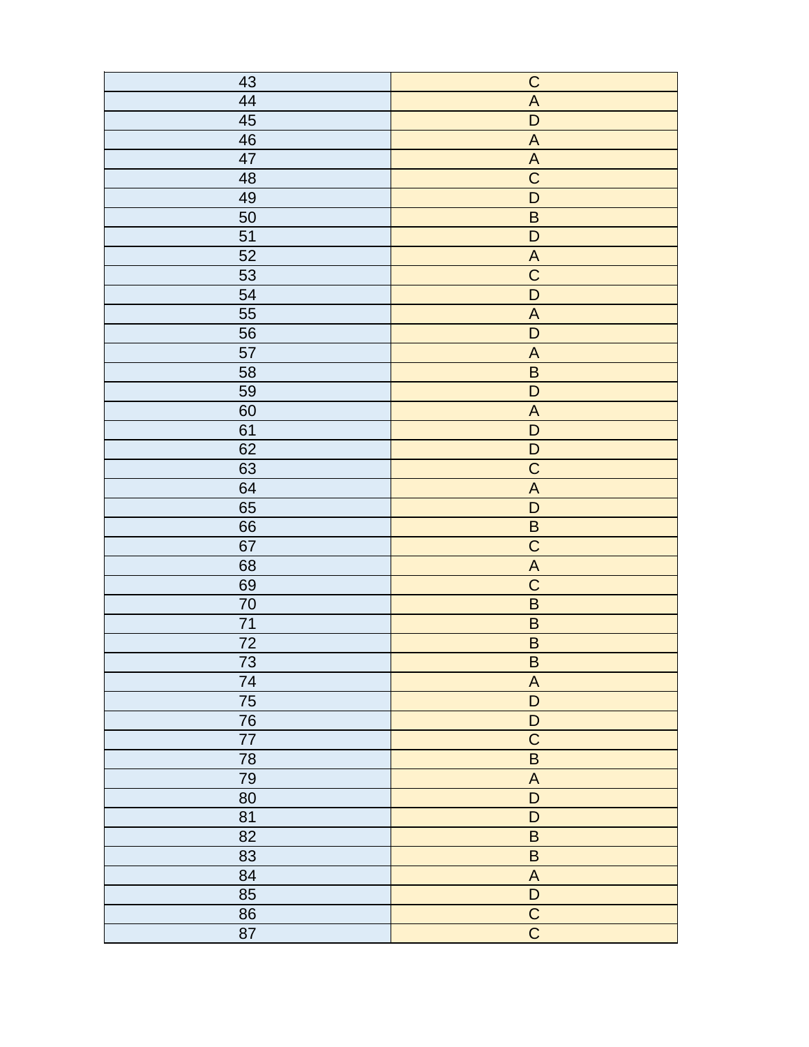| 43              | $\overline{C}$            |
|-----------------|---------------------------|
| 44              | $\overline{A}$            |
| 45              | $\mathsf D$               |
| 46              | $\overline{A}$            |
|                 |                           |
| $\overline{47}$ | $\overline{A}$            |
| 48              | $\overline{C}$            |
| 49              | $\overline{D}$            |
| 50              | $\overline{B}$            |
| $\overline{51}$ | $\overline{D}$            |
| 52              | $\overline{A}$            |
| 53              | $\overline{C}$            |
| 54              | $\overline{D}$            |
| 55              | $\boldsymbol{\mathsf{A}}$ |
| 56              | $\overline{D}$            |
| 57              | $\boldsymbol{\mathsf{A}}$ |
| 58              | $\overline{B}$            |
| 59              | $\overline{D}$            |
| 60              | $\overline{A}$            |
| 61              | $\mathsf D$               |
| 62              | $\overline{D}$            |
| 63              | $\overline{C}$            |
| 64              | $\overline{A}$            |
| 65              | $\overline{D}$            |
| 66              | $\overline{\mathsf{B}}$   |
| 67              | $\overline{C}$            |
| 68              | $\overline{A}$            |
| 69              | $\overline{C}$            |
| 70              | $\overline{B}$            |
| 71              | $\overline{\mathsf{B}}$   |
| $\overline{72}$ | $\overline{\mathsf{B}}$   |
|                 |                           |
| $\overline{73}$ | $\overline{B}$            |
| $\overline{74}$ | $\overline{A}$            |
| 75              | $\overline{D}$            |
| 76              | $\overline{D}$            |
| 77              | $\overline{C}$            |
| 78              | $\overline{B}$            |
| 79              | $\boldsymbol{\mathsf{A}}$ |
| 80              | $\overline{D}$            |
| 81              | $\mathsf D$               |
| $\overline{82}$ | $\sf B$                   |
| 83              | $\overline{B}$            |
| 84              | $\boldsymbol{\mathsf{A}}$ |
| 85              | $\overline{D}$            |
| 86              | $\overline{C}$            |
| 87              | $\overline{C}$            |